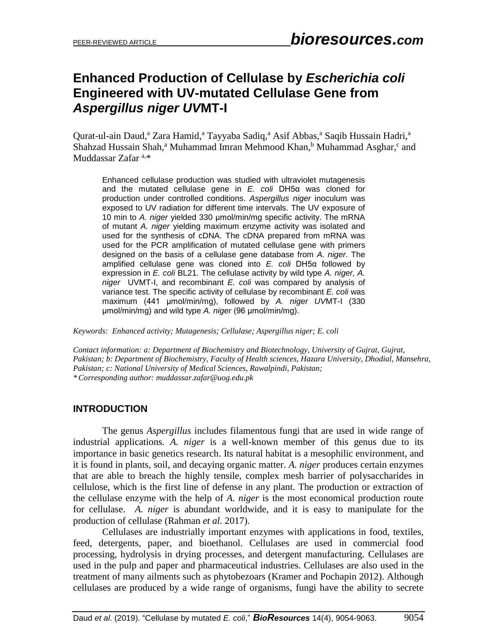# **Enhanced Production of Cellulase by** *Escherichia coli*  **Engineered with UV-mutated Cellulase Gene from**  *Aspergillus niger UV***MT-I**

Qurat-ul-ain Daud,<sup>a</sup> Zara Hamid,<sup>a</sup> Tayyaba Sadiq,<sup>a</sup> Asif Abbas,<sup>a</sup> Saqib Hussain Hadri,<sup>a</sup> Shahzad Hussain Shah,<sup>a</sup> Muhammad Imran Mehmood Khan,<sup>b</sup> Muhammad Asghar,<sup>c</sup> and Muddassar Zafar<sup>a,\*</sup>

Enhanced cellulase production was studied with ultraviolet mutagenesis and the mutated cellulase gene in *E. coli* DH5α was cloned for production under controlled conditions. *Aspergillus niger* inoculum was exposed to UV radiation for different time intervals. The UV exposure of 10 min to *A. niger* yielded 330 μmol/min/mg specific activity. The mRNA of mutant *A. niger* yielding maximum enzyme activity was isolated and used for the synthesis of cDNA. The cDNA prepared from mRNA was used for the PCR amplification of mutated cellulase gene with primers designed on the basis of a cellulase gene database from *A. niger*. The amplified cellulase gene was cloned into *E. coli* DH5α followed by expression in *E. coli* BL21. The cellulase activity by wild type *A. niger, A. niger* UVMT-I, and recombinant *E. coli* was compared by analysis of variance test. The specific activity of cellulase by recombinant *E. coli* was maximum (441 μmol/min/mg), followed by *A. niger UV*MT-I (330 μmol/min/mg) and wild type *A. niger* (96 μmol/min/mg).

*Keywords: Enhanced activity; Mutagenesis; Cellulase; Aspergillus niger; E. coli*

*Contact information: a: Department of Biochemistry and Biotechnology, University of Gujrat, Gujrat, Pakistan; b: Department of Biochemistry, Faculty of Health sciences, Hazara University, Dhodial, Mansehra, Pakistan; c: National University of Medical Sciences, Rawalpindi, Pakistan; \* Corresponding author: muddassar.zafar@uog.edu.pk*

# **INTRODUCTION**

The genus *Aspergillus* includes filamentous fungi that are used in wide range of industrial applications*. A. niger* is a well-known member of this genus due to its importance in basic genetics research. Its natural habitat is a mesophilic environment, and it is found in plants, soil, and decaying organic matter. *A. niger* produces certain enzymes that are able to breach the highly tensile, complex mesh barrier of polysaccharides in cellulose, which is the first line of defense in any plant. The production or extraction of the cellulase enzyme with the help of *A. niger* is the most economical production route for cellulase. *A. niger* is abundant worldwide, and it is easy to manipulate for the production of cellulase (Rahman *et al.* 2017).

Cellulases are industrially important enzymes with applications in food, textiles, feed, detergents, paper, and bioethanol. Cellulases are used in commercial food processing, hydrolysis in drying processes, and detergent manufacturing. Cellulases are used in the pulp and paper and pharmaceutical industries. Cellulases are also used in the treatment of many ailments such as phytobezoars (Kramer and Pochapin 2012). Although cellulases are produced by a wide range of organisms, fungi have the ability to secrete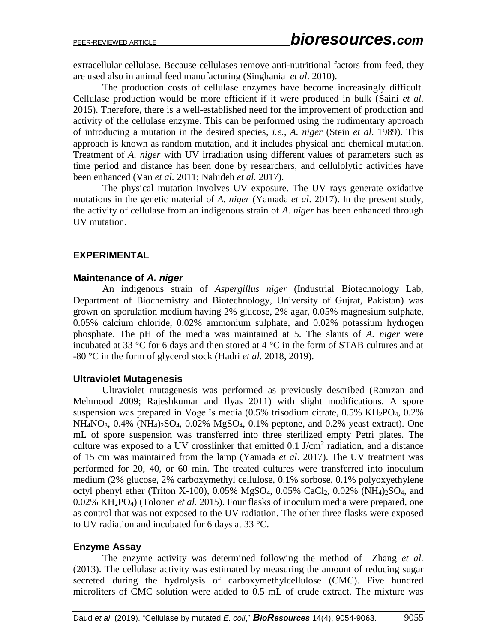extracellular cellulase. Because cellulases remove anti-nutritional factors from feed, they are used also in animal feed manufacturing (Singhania *et al*. 2010).

The production costs of cellulase enzymes have become increasingly difficult. Cellulase production would be more efficient if it were produced in bulk (Saini *et al.* 2015). Therefore, there is a well-established need for the improvement of production and activity of the cellulase enzyme. This can be performed using the rudimentary approach of introducing a mutation in the desired species, *i.e.*, *A. niger* (Stein *et al*. 1989). This approach is known as random mutation, and it includes physical and chemical mutation. Treatment of *A. niger* with UV irradiation using different values of parameters such as time period and distance has been done by researchers, and cellulolytic activities have been enhanced (Van *et al.* 2011; Nahideh *et al.* 2017).

The physical mutation involves UV exposure. The UV rays generate oxidative mutations in the genetic material of *A. niger* (Yamada *et al*. 2017). In the present study, the activity of cellulase from an indigenous strain of *A. niger* has been enhanced through UV mutation.

### **EXPERIMENTAL**

#### **Maintenance of** *A. niger*

An indigenous strain of *Aspergillus niger* (Industrial Biotechnology Lab, Department of Biochemistry and Biotechnology, University of Gujrat, Pakistan) was grown on sporulation medium having 2% glucose, 2% agar, 0.05% magnesium sulphate, 0.05% calcium chloride, 0.02% ammonium sulphate, and 0.02% potassium hydrogen phosphate. The pH of the media was maintained at 5. The slants of *A. niger* were incubated at 33  $\degree$ C for 6 days and then stored at 4  $\degree$ C in the form of STAB cultures and at -80 °C in the form of glycerol stock (Hadri *et al.* 2018, 2019).

#### **Ultraviolet Mutagenesis**

Ultraviolet mutagenesis was performed as previously described (Ramzan and Mehmood 2009; Rajeshkumar and Ilyas 2011) with slight modifications. A spore suspension was prepared in Vogel's media  $(0.5\%$  trisodium citrate,  $0.5\%$  KH<sub>2</sub>PO<sub>4</sub>,  $0.2\%$  $NH_4NO_3$ , 0.4%  $(NH_4)_2SO_4$ , 0.02%  $MgSO_4$ , 0.1% peptone, and 0.2% yeast extract). One mL of spore suspension was transferred into three sterilized empty Petri plates. The culture was exposed to a UV crosslinker that emitted  $0.1$  J/cm<sup>2</sup> radiation, and a distance of 15 cm was maintained from the lamp (Yamada *et al*. 2017). The UV treatment was performed for 20, 40, or 60 min. The treated cultures were transferred into inoculum medium (2% glucose, 2% carboxymethyl cellulose, 0.1% sorbose, 0.1% polyoxyethylene octyl phenyl ether (Triton X-100), 0.05% MgSO<sub>4</sub>, 0.05% CaCl<sub>2</sub>, 0.02% (NH<sub>4</sub>)<sub>2</sub>SO<sub>4</sub>, and 0.02% KH2PO4) (Tolonen *et al.* 2015). Four flasks of inoculum media were prepared, one as control that was not exposed to the UV radiation. The other three flasks were exposed to UV radiation and incubated for 6 days at 33 °C.

#### **Enzyme Assay**

The enzyme activity was determined following the method of Zhang *et al.* (2013). The cellulase activity was estimated by measuring the amount of reducing sugar secreted during the hydrolysis of carboxymethylcellulose (CMC). Five hundred microliters of CMC solution were added to 0.5 mL of crude extract. The mixture was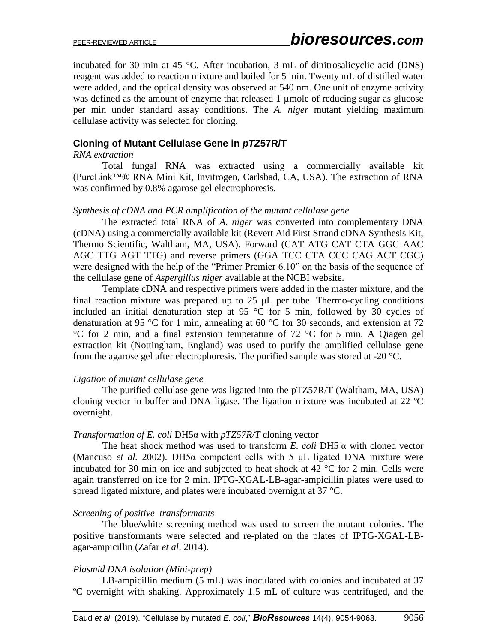incubated for 30 min at 45 °C. After incubation, 3 mL of dinitrosalicyclic acid (DNS) reagent was added to reaction mixture and boiled for 5 min. Twenty mL of distilled water were added, and the optical density was observed at 540 nm. One unit of enzyme activity was defined as the amount of enzyme that released 1 umole of reducing sugar as glucose per min under standard assay conditions. The *A. niger* mutant yielding maximum cellulase activity was selected for cloning.

# **Cloning of Mutant Cellulase Gene in** *pTZ***57R/T**

#### *RNA extraction*

Total fungal RNA was extracted using a commercially available kit (PureLink™® RNA Mini Kit, Invitrogen, Carlsbad, CA, USA). The extraction of RNA was confirmed by 0.8% agarose gel electrophoresis.

### *Synthesis of cDNA and PCR amplification of the mutant cellulase gene*

The extracted total RNA of *A. niger* was converted into complementary DNA (cDNA) using a commercially available kit (Revert Aid First Strand cDNA Synthesis Kit, Thermo Scientific, Waltham, MA, USA). Forward (CAT ATG CAT CTA GGC AAC AGC TTG AGT TTG) and reverse primers (GGA TCC CTA CCC CAG ACT CGC) were designed with the help of the "Primer Premier 6.10" on the basis of the sequence of the cellulase gene of *Aspergillus niger* available at the NCBI website.

Template cDNA and respective primers were added in the master mixture, and the final reaction mixture was prepared up to  $25 \mu L$  per tube. Thermo-cycling conditions included an initial denaturation step at 95 °C for 5 min, followed by 30 cycles of denaturation at 95 °C for 1 min, annealing at 60 °C for 30 seconds, and extension at 72 °C for 2 min, and a final extension temperature of 72 °C for 5 min. A Qiagen gel extraction kit (Nottingham, England) was used to purify the amplified cellulase gene from the agarose gel after electrophoresis. The purified sample was stored at -20 °C.

# *Ligation of mutant cellulase gene*

The purified cellulase gene was ligated into the pTZ57R/T (Waltham, MA, USA) cloning vector in buffer and DNA ligase. The ligation mixture was incubated at 22 ºC overnight.

#### *Transformation of E. coli* DH5α with *pTZ57R/T* cloning vector

The heat shock method was used to transform *E. coli* DH5 α with cloned vector (Mancuso *et al.* 2002). DH5α competent cells with 5 μL ligated DNA mixture were incubated for 30 min on ice and subjected to heat shock at 42 °C for 2 min. Cells were again transferred on ice for 2 min. IPTG-XGAL-LB-agar-ampicillin plates were used to spread ligated mixture, and plates were incubated overnight at 37 °C.

# *Screening of positive transformants*

The blue/white screening method was used to screen the mutant colonies. The positive transformants were selected and re-plated on the plates of IPTG-XGAL-LBagar-ampicillin (Zafar *et al*. 2014).

# *Plasmid DNA isolation (Mini-prep)*

LB-ampicillin medium (5 mL) was inoculated with colonies and incubated at 37 ºC overnight with shaking. Approximately 1.5 mL of culture was centrifuged, and the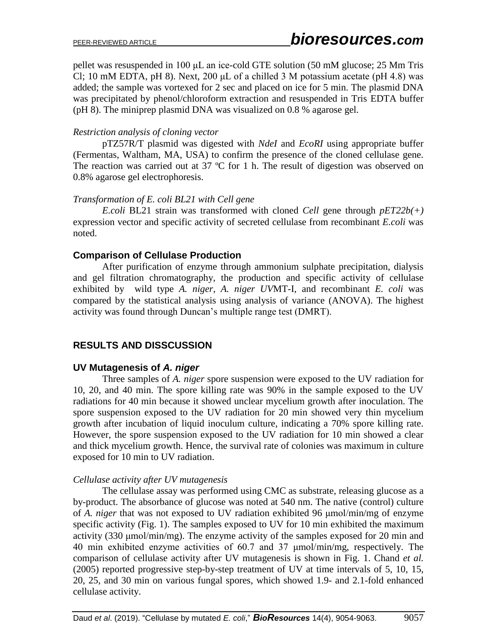pellet was resuspended in 100 μL an ice-cold GTE solution (50 mM glucose; 25 Mm Tris Cl; 10 mM EDTA, pH 8). Next, 200  $\mu$ L of a chilled 3 M potassium acetate (pH 4.8) was added; the sample was vortexed for 2 sec and placed on ice for 5 min. The plasmid DNA was precipitated by phenol/chloroform extraction and resuspended in Tris EDTA buffer (pH 8). The miniprep plasmid DNA was visualized on 0.8 % agarose gel.

### *Restriction analysis of cloning vector*

pTZ57R/T plasmid was digested with *NdeI* and *EcoRI* using appropriate buffer (Fermentas, Waltham, MA, USA) to confirm the presence of the cloned cellulase gene. The reaction was carried out at 37 °C for 1 h. The result of digestion was observed on 0.8% agarose gel electrophoresis.

### *Transformation of E. coli BL21 with Cell gene*

*E.coli* BL21 strain was transformed with cloned *Cell* gene through *pET22b(+)* expression vector and specific activity of secreted cellulase from recombinant *E.coli* was noted.

### **Comparison of Cellulase Production**

After purification of enzyme through ammonium sulphate precipitation, dialysis and gel filtration chromatography, the production and specific activity of cellulase exhibited by wild type *A. niger*, *A. niger UV*MT-I, and recombinant *E. coli* was compared by the statistical analysis using analysis of variance (ANOVA). The highest activity was found through Duncan's multiple range test (DMRT).

# **RESULTS AND DISSCUSSION**

# **UV Mutagenesis of** *A. niger*

Three samples of *A. niger* spore suspension were exposed to the UV radiation for 10, 20, and 40 min. The spore killing rate was 90% in the sample exposed to the UV radiations for 40 min because it showed unclear mycelium growth after inoculation. The spore suspension exposed to the UV radiation for 20 min showed very thin mycelium growth after incubation of liquid inoculum culture, indicating a 70% spore killing rate. However, the spore suspension exposed to the UV radiation for 10 min showed a clear and thick mycelium growth. Hence, the survival rate of colonies was maximum in culture exposed for 10 min to UV radiation.

#### *Cellulase activity after UV mutagenesis*

The cellulase assay was performed using CMC as substrate, releasing glucose as a by-product. The absorbance of glucose was noted at 540 nm. The native (control) culture of *A. niger* that was not exposed to UV radiation exhibited 96 μmol/min/mg of enzyme specific activity (Fig. 1). The samples exposed to UV for 10 min exhibited the maximum activity (330 μmol/min/mg). The enzyme activity of the samples exposed for 20 min and 40 min exhibited enzyme activities of 60.7 and 37 μmol/min/mg, respectively. The comparison of cellulase activity after UV mutagenesis is shown in Fig. 1. Chand *et al.* (2005) reported progressive step-by-step treatment of UV at time intervals of 5, 10, 15, 20, 25, and 30 min on various fungal spores, which showed 1.9- and 2.1-fold enhanced cellulase activity.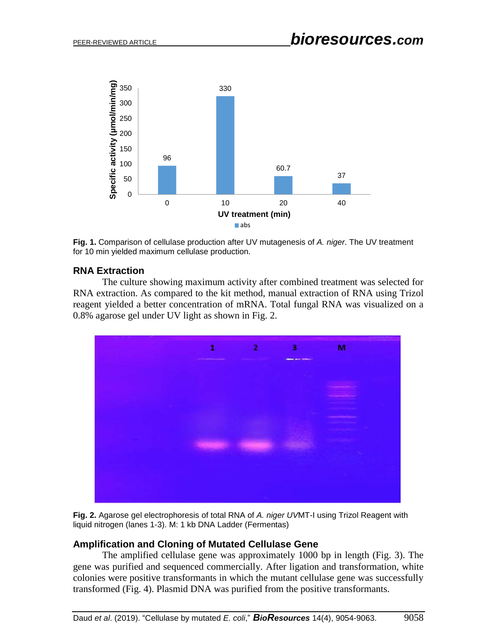

**Fig. 1.** Comparison of cellulase production after UV mutagenesis of *A. niger*. The UV treatment for 10 min yielded maximum cellulase production.

# **RNA Extraction**

The culture showing maximum activity after combined treatment was selected for RNA extraction. As compared to the kit method, manual extraction of RNA using Trizol reagent yielded a better concentration of mRNA. Total fungal RNA was visualized on a 0.8% agarose gel under UV light as shown in Fig. 2.



**Fig. 2.** Agarose gel electrophoresis of total RNA of *A. niger UV*MT-I using Trizol Reagent with liquid nitrogen (lanes 1-3). M: 1 kb DNA Ladder (Fermentas)

#### **Amplification and Cloning of Mutated Cellulase Gene**

The amplified cellulase gene was approximately 1000 bp in length (Fig. 3). The gene was purified and sequenced commercially. After ligation and transformation, white colonies were positive transformants in which the mutant cellulase gene was successfully transformed (Fig. 4). Plasmid DNA was purified from the positive transformants.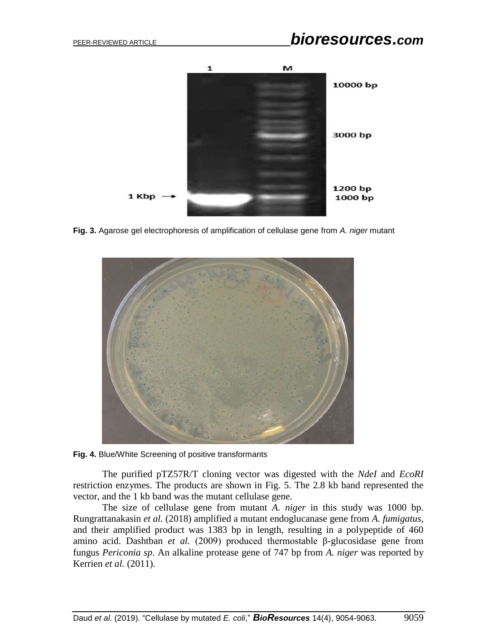

**Fig. 3.** Agarose gel electrophoresis of amplification of cellulase gene from *A. niger* mutant



**Fig. 4.** Blue/White Screening of positive transformants

The purified pTZ57R/T cloning vector was digested with the *NdeI* and *EcoRI* restriction enzymes. The products are shown in Fig. 5. The 2.8 kb band represented the vector, and the 1 kb band was the mutant cellulase gene.

The size of cellulase gene from mutant *A. niger* in this study was 1000 bp. Rungrattanakasin *et al.* (2018) amplified a mutant endoglucanase gene from *A. fumigatus*, and their amplified product was 1383 bp in length, resulting in a polypeptide of 460 amino acid. Dashtban *et al.* (2009) produced thermostable β-glucosidase gene from fungus *Periconia sp*. An alkaline protease gene of 747 bp from *A. niger* was reported by Kerrien *et al.* (2011).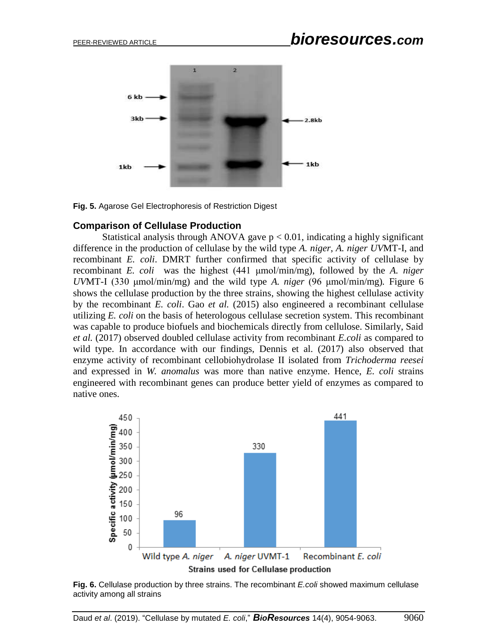

**Fig. 5.** Agarose Gel Electrophoresis of Restriction Digest

#### **Comparison of Cellulase Production**

Statistical analysis through ANOVA gave  $p < 0.01$ , indicating a highly significant difference in the production of cellulase by the wild type *A. niger*, *A. niger UV*MT-I, and recombinant *E. coli*. DMRT further confirmed that specific activity of cellulase by recombinant *E. coli* was the highest (441 μmol/min/mg), followed by the *A. niger UV*MT-I (330 μmol/min/mg) and the wild type *A. niger* (96 μmol/min/mg)*.* Figure 6 shows the cellulase production by the three strains, showing the highest cellulase activity by the recombinant *E. coli*. Gao *et al.* (2015) also engineered a recombinant cellulase utilizing *E. coli* on the basis of heterologous cellulase secretion system. This recombinant was capable to produce biofuels and biochemicals directly from cellulose. Similarly, Said *et al.* (2017) observed doubled cellulase activity from recombinant *E.coli* as compared to wild type. In accordance with our findings, Dennis et al. (2017) also observed that enzyme activity of recombinant cellobiohydrolase II isolated from *Trichoderma reesei* and expressed in *W. anomalus* was more than native enzyme. Hence, *E. coli* strains engineered with recombinant genes can produce better yield of enzymes as compared to native ones.



**Fig. 6.** Cellulase production by three strains. The recombinant *E.coli* showed maximum cellulase activity among all strains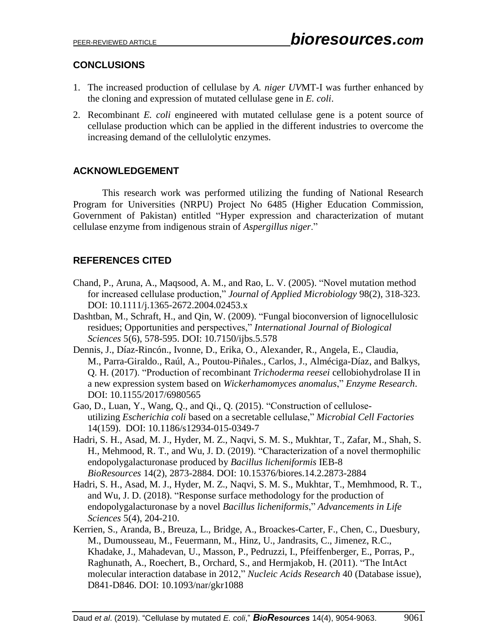# **CONCLUSIONS**

- 1. The increased production of cellulase by *A. niger UV*MT-I was further enhanced by the cloning and expression of mutated cellulase gene in *E. coli*.
- 2. Recombinant *E. coli* engineered with mutated cellulase gene is a potent source of cellulase production which can be applied in the different industries to overcome the increasing demand of the cellulolytic enzymes.

# **ACKNOWLEDGEMENT**

This research work was performed utilizing the funding of National Research Program for Universities (NRPU) Project No 6485 (Higher Education Commission, Government of Pakistan) entitled "Hyper expression and characterization of mutant cellulase enzyme from indigenous strain of *Aspergillus niger*."

# **REFERENCES CITED**

- Chand, P., Aruna, A., Maqsood, A. M., and Rao, L. V. (2005). "Novel mutation method for increased cellulase production," *Journal of Applied Microbiology* 98(2), 318-323. DOI: 10.1111/j.1365-2672.2004.02453.x
- Dashtban, M., Schraft, H., and Qin, W. (2009). "Fungal bioconversion of lignocellulosic residues; Opportunities and perspectives," *International Journal of Biological Sciences* 5(6), 578-595. DOI: 10.7150/ijbs.5.578
- Dennis, J., [Díaz-Rincón.](https://www.hindawi.com/82312494/), [Ivonne,](https://www.hindawi.com/73501354/) D., [Erika,](https://www.hindawi.com/28053125/) O., [Alexander,](https://www.hindawi.com/41629853/) R., [Angela,](https://www.hindawi.com/80489673/) E., [Claudia,](https://www.hindawi.com/95046541/)  M., [Parra-Giraldo.](https://www.hindawi.com/95046541/), Raúl, A., [Poutou-Piñales.](https://www.hindawi.com/58734262/), Carlos, J., [Alméciga-Díaz,](https://www.hindawi.com/52509284/) and [Balkys,](https://www.hindawi.com/73489897/) [Q. H.](https://www.hindawi.com/73489897/) (2017). "Production of recombinant *Trichoderma reesei* cellobiohydrolase II in a new expression system based on *Wickerhamomyces anomalus*," *Enzyme Research*. [DOI: 10.1155/2017/6980565](https://doi.org/10.1155/2017/6980565)
- Gao, D., Luan, Y., Wang, Q., and Qi., Q. (2015). "Construction of celluloseutilizing *Escherichia coli* based on a secretable cellulase," *Microbial Cell Factories* 14(159). DOI: [10.1186/s12934-015-0349-7](https://dx.doi.org/10.1186%2Fs12934-015-0349-7)
- Hadri, S. H., Asad, M. J., Hyder, M. Z., Naqvi, S. M. S., Mukhtar, T., Zafar, M., Shah, S. H., Mehmood, R. T., and Wu, J. D. (2019). "Characterization of a novel thermophilic endopolygalacturonase produced by *Bacillus licheniformis* IEB-8 *BioResources* 14(2), 2873-2884. DOI: 10.15376/biores.14.2.2873-2884
- Hadri, S. H., Asad, M. J., Hyder, M. Z., Naqvi, S. M. S., Mukhtar, T., Memhmood, R. T., and Wu, J. D. (2018). "Response surface methodology for the production of endopolygalacturonase by a novel *Bacillus licheniformis*," *Advancements in Life Sciences* 5(4), 204-210.
- Kerrien, S., Aranda, B., Breuza, L., Bridge, A., Broackes-Carter, F., Chen, C., Duesbury, M., Dumousseau, M., Feuermann, M., Hinz, U., Jandrasits, C., Jimenez, R.C., Khadake, J., Mahadevan, U., Masson, P., Pedruzzi, I., Pfeiffenberger, E., Porras, P., Raghunath, A., Roechert, B., Orchard, S., and Hermjakob, H. (2011). "The IntAct molecular interaction database in 2012," *Nucleic Acids Research* 40 (Database issue), D841-D846. DOI: 10.1093/nar/gkr1088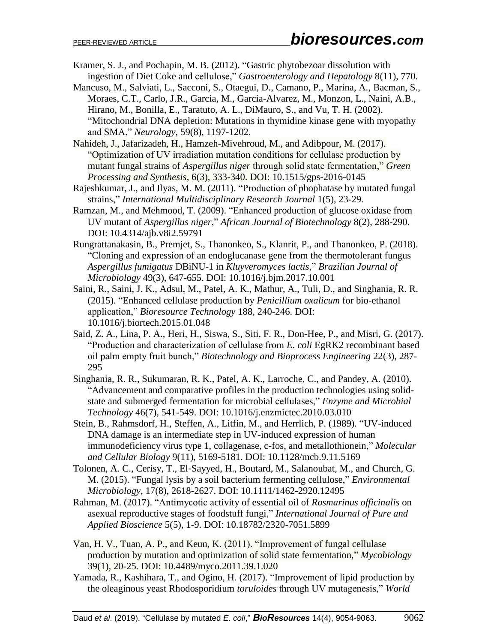- Kramer, S. J., and Pochapin, M. B. (2012). "Gastric phytobezoar dissolution with ingestion of Diet Coke and cellulose," *Gastroenterology and Hepatology* 8(11), 770.
- Mancuso, M., Salviati, L., Sacconi, S., Otaegui, D., Camano, P., Marina, A., Bacman, S., Moraes, C.T., Carlo, J.R., Garcia, M., Garcia-Alvarez, M., Monzon, L., Naini, A.B., Hirano, M., Bonilla, E., Taratuto, A. L., DiMauro, S., and Vu, T. H. (2002). "Mitochondrial DNA depletion: Mutations in thymidine kinase gene with myopathy and SMA," *Neurology*, 59(8), 1197-1202.
- Nahideh, J., Jafarizadeh, H., Hamzeh-Mivehroud, M., and Adibpour, M. (2017). "Optimization of UV irradiation mutation conditions for cellulase production by mutant fungal strains of *Aspergillus niger* through solid state fermentation," *Green Processing and Synthesis*, 6(3), 333-340. DOI: 10.1515/gps-2016-0145
- Rajeshkumar, J., and Ilyas, M. M. (2011). "Production of phophatase by mutated fungal strains," *International Multidisciplinary Research Journal* 1(5), 23-29.
- Ramzan, M., and Mehmood, T. (2009). "Enhanced production of glucose oxidase from UV mutant of *Aspergillus niger*," *African Journal of Biotechnology* 8(2), 288-290. DOI: 10.4314/ajb.v8i2.59791
- Rungrattanakasin, B., Premjet, S., Thanonkeo, S., Klanrit, P., and Thanonkeo, P. (2018). "Cloning and expression of an endoglucanase gene from the thermotolerant fungus *Aspergillus fumigatus* DBiNU-1 in *Kluyveromyces lactis*," *Brazilian Journal of Microbiology* 49(3), 647-655. DOI: 10.1016/j.bjm.2017.10.001
- Saini, R., Saini, J. K., Adsul, M., Patel, A. K., Mathur, A., Tuli, D., and Singhania, R. R. (2015). "Enhanced cellulase production by *Penicillium oxalicum* for bio-ethanol application," *Bioresource Technology* 188, 240-246. DOI: 10.1016/j.biortech.2015.01.048
- Said, Z. A., Lina, P. A., Heri, H., Siswa, S., Siti, F. R., Don-Hee, P., and Misri, G. (2017). "Production and characterization of cellulase from *E. coli* EgRK2 recombinant based oil palm empty fruit bunch," *[Biotechnology and Bioprocess Engineering](https://link.springer.com/journal/12257)* 22(3), 287- 295
- Singhania, R. R., Sukumaran, R. K., Patel, A. K., Larroche, C., and Pandey, A. (2010). "Advancement and comparative profiles in the production technologies using solidstate and submerged fermentation for microbial cellulases," *Enzyme and Microbial Technology* 46(7), 541-549. DOI: 10.1016/j.enzmictec.2010.03.010
- Stein, B., Rahmsdorf, H., Steffen, A., Litfin, M., and Herrlich, P. (1989). "UV-induced DNA damage is an intermediate step in UV-induced expression of human immunodeficiency virus type 1, collagenase, c-fos, and metallothionein," *Molecular and Cellular Biology* 9(11), 5169-5181. DOI: 10.1128/mcb.9.11.5169
- Tolonen, A. C., Cerisy, T., El‐Sayyed, H., Boutard, M., Salanoubat, M., and Church, G. M. (2015). "Fungal lysis by a soil bacterium fermenting cellulose," *Environmental Microbiology*, 17(8), 2618-2627. DOI: 10.1111/1462-2920.12495
- Rahman, M. (2017). "Antimycotic activity of essential oil of *Rosmarinus officinalis* on asexual reproductive stages of foodstuff fungi," *International Journal of Pure and Applied Bioscience* 5(5), 1-9. DOI: 10.18782/2320-7051.5899
- [Van, H. V.,](https://www.ncbi.nlm.nih.gov/pubmed/?term=Vu%20VH%5BAuthor%5D&cauthor=true&cauthor_uid=22783068) [Tuan, A. P.,](https://www.ncbi.nlm.nih.gov/pubmed/?term=Pham%20TA%5BAuthor%5D&cauthor=true&cauthor_uid=22783068) and [Keun, K.](https://www.ncbi.nlm.nih.gov/pubmed/?term=Kim%20K%5BAuthor%5D&cauthor=true&cauthor_uid=22783068) (2011). "Improvement of fungal cellulase production by mutation and optimization of solid state fermentation," *Mycobiology* 39(1), 20-25. DOI: [10.4489/myco.2011.39.1.020](https://dx.doi.org/10.4489%2FMYCO.2011.39.1.020)
- Yamada, R., Kashihara, T., and Ogino, H. (2017). "Improvement of lipid production by the oleaginous yeast Rhodosporidium *toruloides* through UV mutagenesis," *World*